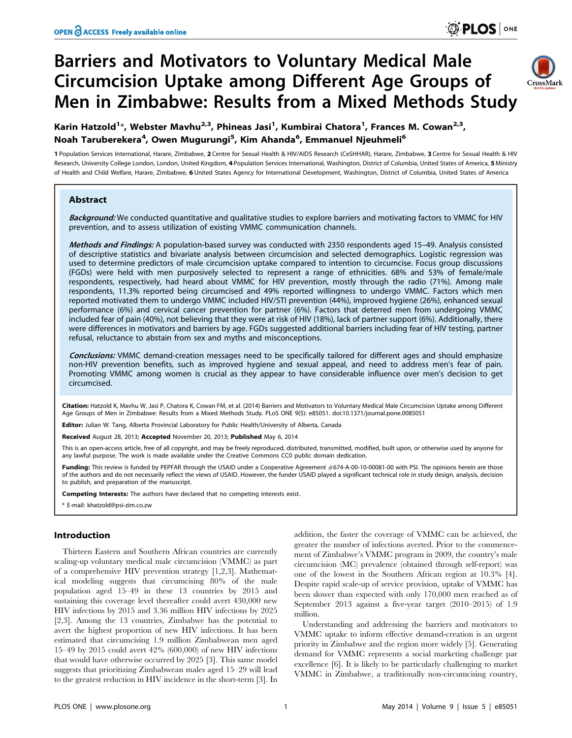# Barriers and Motivators to Voluntary Medical Male Circumcision Uptake among Different Age Groups of Men in Zimbabwe: Results from a Mixed Methods Study

# Karin Hatzold<sup>1</sup>\*, Webster Mavhu<sup>2,3</sup>, Phineas Jasi<sup>1</sup>, Kumbirai Chatora<sup>1</sup>, Frances M. Cowan<sup>2,3</sup>, Noah Taruberekera<sup>4</sup>, Owen Mugurungi<sup>5</sup>, Kim Ahanda<sup>6</sup>, Emmanuel Njeuhmeli<sup>6</sup>

1 Population Services International, Harare, Zimbabwe, 2 Centre for Sexual Health & HIV/AIDS Research (CeSHHAR), Harare, Zimbabwe, 3 Centre for Sexual Health & HIV Research, University College London, London, United Kingdom, 4 Population Services International, Washington, District of Columbia, United States of America, 5 Ministry of Health and Child Welfare, Harare, Zimbabwe, 6 United States Agency for International Development, Washington, District of Columbia, United States of America

# Abstract

Background: We conducted quantitative and qualitative studies to explore barriers and motivating factors to VMMC for HIV prevention, and to assess utilization of existing VMMC communication channels.

Methods and Findings: A population-based survey was conducted with 2350 respondents aged 15-49. Analysis consisted of descriptive statistics and bivariate analysis between circumcision and selected demographics. Logistic regression was used to determine predictors of male circumcision uptake compared to intention to circumcise. Focus group discussions (FGDs) were held with men purposively selected to represent a range of ethnicities. 68% and 53% of female/male respondents, respectively, had heard about VMMC for HIV prevention, mostly through the radio (71%). Among male respondents, 11.3% reported being circumcised and 49% reported willingness to undergo VMMC. Factors which men reported motivated them to undergo VMMC included HIV/STI prevention (44%), improved hygiene (26%), enhanced sexual performance (6%) and cervical cancer prevention for partner (6%). Factors that deterred men from undergoing VMMC included fear of pain (40%), not believing that they were at risk of HIV (18%), lack of partner support (6%). Additionally, there were differences in motivators and barriers by age. FGDs suggested additional barriers including fear of HIV testing, partner refusal, reluctance to abstain from sex and myths and misconceptions.

Conclusions: VMMC demand-creation messages need to be specifically tailored for different ages and should emphasize non-HIV prevention benefits, such as improved hygiene and sexual appeal, and need to address men's fear of pain. Promoting VMMC among women is crucial as they appear to have considerable influence over men's decision to get circumcised.

Citation: Hatzold K, Mavhu W, Jasi P, Chatora K, Cowan FM, et al. (2014) Barriers and Motivators to Voluntary Medical Male Circumcision Uptake among Different Age Groups of Men in Zimbabwe: Results from a Mixed Methods Study. PLoS ONE 9(5): e85051. doi:10.1371/journal.pone.0085051

Editor: Julian W. Tang, Alberta Provincial Laboratory for Public Health/University of Alberta, Canada

Received August 28, 2013; Accepted November 20, 2013; Published May 6, 2014

This is an open-access article, free of all copyright, and may be freely reproduced, distributed, transmitted, modified, built upon, or otherwise used by anyone for any lawful purpose. The work is made available under the Creative Commons CC0 public domain dedication.

Funding: This review is funded by PEPFAR through the USAID under a Cooperative Agreement #674-A-00-10-00081-00 with PSI. The opinions herein are those of the authors and do not necessarily reflect the views of USAID. However, the funder USAID played a significant technical role in study design, analysis, decision to publish, and preparation of the manuscript.

Competing Interests: The authors have declared that no competing interests exist.

\* E-mail: khatzold@psi-zim.co.zw

# Introduction

Thirteen Eastern and Southern African countries are currently scaling-up voluntary medical male circumcision (VMMC) as part of a comprehensive HIV prevention strategy [1,2,3]. Mathematical modeling suggests that circumcising 80% of the male population aged 15–49 in these 13 countries by 2015 and sustaining this coverage level thereafter could avert 430,000 new HIV infections by 2015 and 3.36 million HIV infections by 2025 [2,3]. Among the 13 countries, Zimbabwe has the potential to avert the highest proportion of new HIV infections. It has been estimated that circumcising 1.9 million Zimbabwean men aged 15–49 by 2015 could avert 42% (600,000) of new HIV infections that would have otherwise occurred by 2025 [3]. This same model suggests that prioritizing Zimbabwean males aged 15–29 will lead to the greatest reduction in HIV incidence in the short-term [3]. In

addition, the faster the coverage of VMMC can be achieved, the greater the number of infections averted. Prior to the commencement of Zimbabwe's VMMC program in 2009, the country's male circumcision (MC) prevalence (obtained through self-report) was one of the lowest in the Southern African region at 10.3% [4]. Despite rapid scale-up of service provision, uptake of VMMC has been slower than expected with only 170,000 men reached as of September 2013 against a five-year target (2010–2015) of 1.9 million.

Understanding and addressing the barriers and motivators to VMMC uptake to inform effective demand-creation is an urgent priority in Zimbabwe and the region more widely [5]. Generating demand for VMMC represents a social marketing challenge par excellence [6]. It is likely to be particularly challenging to market VMMC in Zimbabwe, a traditionally non-circumcising country,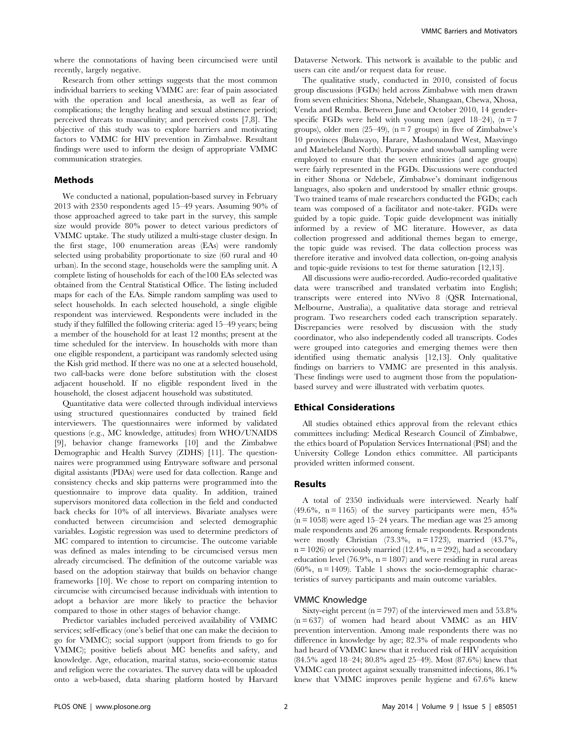where the connotations of having been circumcised were until recently, largely negative.

Research from other settings suggests that the most common individual barriers to seeking VMMC are: fear of pain associated with the operation and local anesthesia, as well as fear of complications; the lengthy healing and sexual abstinence period; perceived threats to masculinity; and perceived costs [7,8]. The objective of this study was to explore barriers and motivating factors to VMMC for HIV prevention in Zimbabwe. Resultant findings were used to inform the design of appropriate VMMC communication strategies.

# Methods

We conducted a national, population-based survey in February 2013 with 2350 respondents aged 15–49 years. Assuming 90% of those approached agreed to take part in the survey, this sample size would provide 80% power to detect various predictors of VMMC uptake. The study utilized a multi-stage cluster design. In the first stage, 100 enumeration areas (EAs) were randomly selected using probability proportionate to size (60 rural and 40 urban). In the second stage, households were the sampling unit. A complete listing of households for each of the100 EAs selected was obtained from the Central Statistical Office. The listing included maps for each of the EAs. Simple random sampling was used to select households. In each selected household, a single eligible respondent was interviewed. Respondents were included in the study if they fulfilled the following criteria: aged 15–49 years; being a member of the household for at least 12 months; present at the time scheduled for the interview. In households with more than one eligible respondent, a participant was randomly selected using the Kish grid method. If there was no one at a selected household, two call-backs were done before substitution with the closest adjacent household. If no eligible respondent lived in the household, the closest adjacent household was substituted.

Quantitative data were collected through individual interviews using structured questionnaires conducted by trained field interviewers. The questionnaires were informed by validated questions (e.g., MC knowledge, attitudes) from WHO/UNAIDS [9], behavior change frameworks [10] and the Zimbabwe Demographic and Health Survey (ZDHS) [11]. The questionnaires were programmed using Entryware software and personal digital assistants (PDAs) were used for data collection. Range and consistency checks and skip patterns were programmed into the questionnaire to improve data quality. In addition, trained supervisors monitored data collection in the field and conducted back checks for 10% of all interviews. Bivariate analyses were conducted between circumcision and selected demographic variables. Logistic regression was used to determine predictors of MC compared to intention to circumcise. The outcome variable was defined as males intending to be circumcised versus men already circumcised. The definition of the outcome variable was based on the adoption stairway that builds on behavior change frameworks [10]. We chose to report on comparing intention to circumcise with circumcised because individuals with intention to adopt a behavior are more likely to practice the behavior compared to those in other stages of behavior change.

Predictor variables included perceived availability of VMMC services; self-efficacy (one's belief that one can make the decision to go for VMMC); social support (support from friends to go for VMMC); positive beliefs about MC benefits and safety, and knowledge. Age, education, marital status, socio-economic status and religion were the covariates. The survey data will be uploaded onto a web-based, data sharing platform hosted by Harvard Dataverse Network. This network is available to the public and users can cite and/or request data for reuse.

The qualitative study, conducted in 2010, consisted of focus group discussions (FGDs) held across Zimbabwe with men drawn from seven ethnicities: Shona, Ndebele, Shangaan, Chewa, Xhosa, Venda and Remba. Between June and October 2010, 14 genderspecific FGDs were held with young men (aged  $18-24$ ), (n = 7 groups), older men  $(25-49)$ ,  $(n=7$  groups) in five of Zimbabwe's 10 provinces (Bulawayo, Harare, Mashonaland West, Masvingo and Matebeleland North). Purposive and snowball sampling were employed to ensure that the seven ethnicities (and age groups) were fairly represented in the FGDs. Discussions were conducted in either Shona or Ndebele, Zimbabwe's dominant indigenous languages, also spoken and understood by smaller ethnic groups. Two trained teams of male researchers conducted the FGDs; each team was composed of a facilitator and note-taker. FGDs were guided by a topic guide. Topic guide development was initially informed by a review of MC literature. However, as data collection progressed and additional themes began to emerge, the topic guide was revised. The data collection process was therefore iterative and involved data collection, on-going analysis and topic-guide revisions to test for theme saturation [12,13].

All discussions were audio-recorded. Audio-recorded qualitative data were transcribed and translated verbatim into English; transcripts were entered into NVivo 8 (QSR International, Melbourne, Australia), a qualitative data storage and retrieval program. Two researchers coded each transcription separately. Discrepancies were resolved by discussion with the study coordinator, who also independently coded all transcripts. Codes were grouped into categories and emerging themes were then identified using thematic analysis [12,13]. Only qualitative findings on barriers to VMMC are presented in this analysis. These findings were used to augment those from the populationbased survey and were illustrated with verbatim quotes.

# Ethical Considerations

All studies obtained ethics approval from the relevant ethics committees including: Medical Research Council of Zimbabwe, the ethics board of Population Services International (PSI) and the University College London ethics committee. All participants provided written informed consent.

#### Results

A total of 2350 individuals were interviewed. Nearly half  $(49.6\%, n = 1165)$  of the survey participants were men,  $45\%$  $(n = 1058)$  were aged 15–24 years. The median age was 25 among male respondents and 26 among female respondents. Respondents were mostly Christian  $(73.3\%, n = 1723)$ , married  $(43.7\%,$  $n = 1026$ ) or previously married (12.4%,  $n = 292$ ), had a secondary education level  $(76.9\%, n = 1807)$  and were residing in rural areas (60%,  $n = 1409$ ). Table 1 shows the socio-demographic characteristics of survey participants and main outcome variables.

### VMMC Knowledge

Sixty-eight percent (n = 797) of the interviewed men and 53.8% (n = 637) of women had heard about VMMC as an HIV prevention intervention. Among male respondents there was no difference in knowledge by age; 82.3% of male respondents who had heard of VMMC knew that it reduced risk of HIV acquisition (84.5% aged 18–24; 80.8% aged 25–49). Most (87.6%) knew that VMMC can protect against sexually transmitted infections, 86.1% knew that VMMC improves penile hygiene and 67.6% knew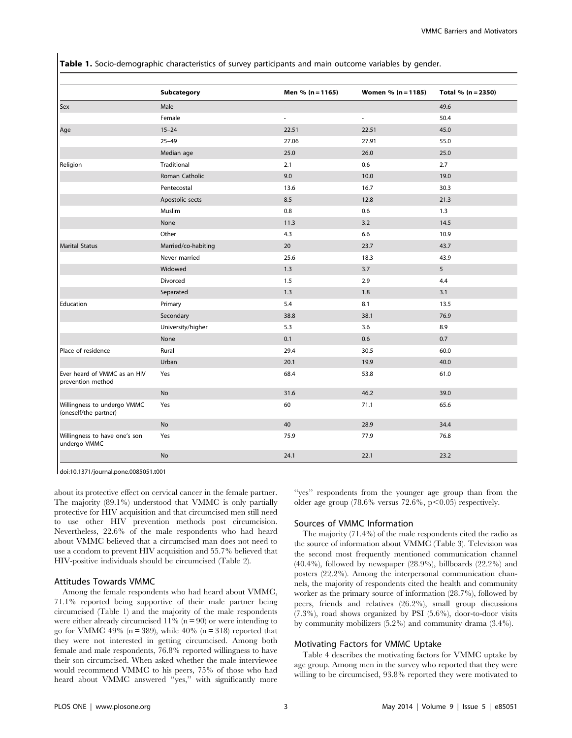**Table 1.** Socio-demographic characteristics of survey participants and main outcome variables by gender.

|                                                      | Subcategory         | Men % (n = 1165)         | Women % (n = 1185)       | Total % (n = 2350) |
|------------------------------------------------------|---------------------|--------------------------|--------------------------|--------------------|
| Sex                                                  | Male                | $\overline{\phantom{0}}$ | $\overline{\phantom{a}}$ | 49.6               |
|                                                      | Female              | ä,                       | $\overline{\phantom{a}}$ | 50.4               |
| Age                                                  | $15 - 24$           | 22.51                    | 22.51                    | 45.0               |
|                                                      | $25 - 49$           | 27.06                    | 27.91                    | 55.0               |
|                                                      | Median age          | 25.0                     | 26.0                     | 25.0               |
| Religion                                             | Traditional         | 2.1                      | 0.6                      | 2.7                |
|                                                      | Roman Catholic      | 9.0                      | 10.0                     | 19.0               |
|                                                      | Pentecostal         | 13.6                     | 16.7                     | 30.3               |
|                                                      | Apostolic sects     | 8.5                      | 12.8                     | 21.3               |
|                                                      | Muslim              | $0.8\,$                  | 0.6                      | 1.3                |
|                                                      | None                | 11.3                     | 3.2                      | 14.5               |
|                                                      | Other               | 4.3                      | 6.6                      | 10.9               |
| <b>Marital Status</b>                                | Married/co-habiting | 20                       | 23.7                     | 43.7               |
|                                                      | Never married       | 25.6                     | 18.3                     | 43.9               |
|                                                      | Widowed             | 1.3                      | 3.7                      | $5\overline{)}$    |
|                                                      | Divorced            | 1.5                      | 2.9                      | 4.4                |
|                                                      | Separated           | 1.3                      | 1.8                      | 3.1                |
| Education                                            | Primary             | 5.4                      | 8.1                      | 13.5               |
|                                                      | Secondary           | 38.8                     | 38.1                     | 76.9               |
|                                                      | University/higher   | 5.3                      | 3.6                      | 8.9                |
|                                                      | None                | 0.1                      | 0.6                      | 0.7                |
| Place of residence                                   | Rural               | 29.4                     | 30.5                     | 60.0               |
|                                                      | Urban               | 20.1                     | 19.9                     | 40.0               |
| Ever heard of VMMC as an HIV<br>prevention method    | Yes                 | 68.4                     | 53.8                     | 61.0               |
|                                                      | <b>No</b>           | 31.6                     | 46.2                     | 39.0               |
| Willingness to undergo VMMC<br>(oneself/the partner) | Yes                 | 60                       | 71.1                     | 65.6               |
|                                                      | <b>No</b>           | 40                       | 28.9                     | 34.4               |
| Willingness to have one's son<br>undergo VMMC        | Yes                 | 75.9                     | 77.9                     | 76.8               |
|                                                      | No                  | 24.1                     | 22.1                     | 23.2               |

doi:10.1371/journal.pone.0085051.t001

about its protective effect on cervical cancer in the female partner. The majority (89.1%) understood that VMMC is only partially protective for HIV acquisition and that circumcised men still need to use other HIV prevention methods post circumcision. Nevertheless, 22.6% of the male respondents who had heard about VMMC believed that a circumcised man does not need to use a condom to prevent HIV acquisition and 55.7% believed that HIV-positive individuals should be circumcised (Table 2).

#### Attitudes Towards VMMC

Among the female respondents who had heard about VMMC, 71.1% reported being supportive of their male partner being circumcised (Table 1) and the majority of the male respondents were either already circumcised  $11\%$  ( $n = 90$ ) or were intending to go for VMMC 49% ( $n = 389$ ), while 40% ( $n = 318$ ) reported that they were not interested in getting circumcised. Among both female and male respondents, 76.8% reported willingness to have their son circumcised. When asked whether the male interviewee would recommend VMMC to his peers, 75% of those who had heard about VMMC answered "yes," with significantly more

"yes" respondents from the younger age group than from the older age group  $(78.6\% \text{ versus } 72.6\%, \text{ p} \leq 0.05)$  respectively.

# Sources of VMMC Information

The majority (71.4%) of the male respondents cited the radio as the source of information about VMMC (Table 3). Television was the second most frequently mentioned communication channel (40.4%), followed by newspaper (28.9%), billboards (22.2%) and posters (22.2%). Among the interpersonal communication channels, the majority of respondents cited the health and community worker as the primary source of information (28.7%), followed by peers, friends and relatives (26.2%), small group discussions (7.3%), road shows organized by PSI (5.6%), door-to-door visits by community mobilizers (5.2%) and community drama (3.4%).

#### Motivating Factors for VMMC Uptake

Table 4 describes the motivating factors for VMMC uptake by age group. Among men in the survey who reported that they were willing to be circumcised, 93.8% reported they were motivated to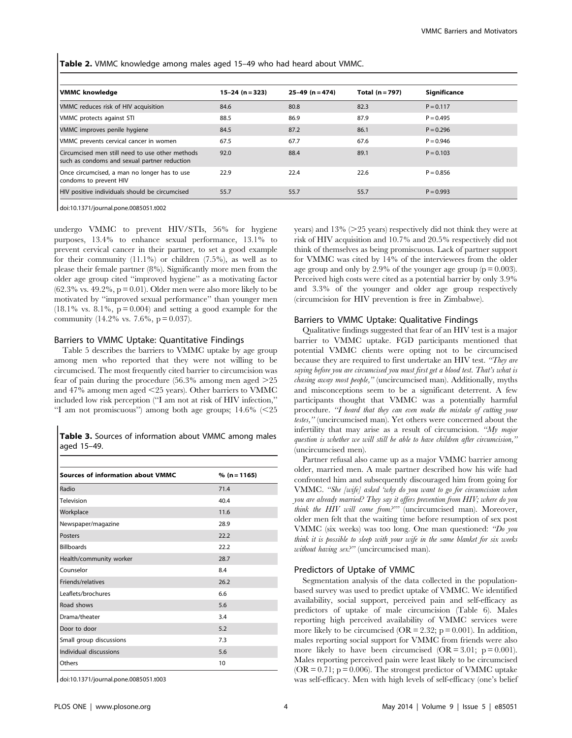Table 2. VMMC knowledge among males aged 15–49 who had heard about VMMC.

| <b>VMMC</b> knowledge                                                                           | $15-24$ (n = 323) | $25-49$ (n = 474) | Total $(n = 797)$ | Significance |
|-------------------------------------------------------------------------------------------------|-------------------|-------------------|-------------------|--------------|
| VMMC reduces risk of HIV acquisition                                                            | 84.6              | 80.8              | 82.3              | $P = 0.117$  |
| VMMC protects against STI                                                                       | 88.5              | 86.9              | 87.9              | $P = 0.495$  |
| VMMC improves penile hygiene                                                                    | 84.5              | 87.2              | 86.1              | $P = 0.296$  |
| VMMC prevents cervical cancer in women                                                          | 67.5              | 67.7              | 67.6              | $P = 0.946$  |
| Circumcised men still need to use other methods<br>such as condoms and sexual partner reduction | 92.0              | 88.4              | 89.1              | $P = 0.103$  |
| Once circumcised, a man no longer has to use<br>condoms to prevent HIV                          | 22.9              | 22.4              | 22.6              | $P = 0.856$  |
| HIV positive individuals should be circumcised                                                  | 55.7              | 55.7              | 55.7              | $P = 0.993$  |

doi:10.1371/journal.pone.0085051.t002

undergo VMMC to prevent HIV/STIs, 56% for hygiene purposes, 13.4% to enhance sexual performance, 13.1% to prevent cervical cancer in their partner, to set a good example for their community  $(11.1\%)$  or children  $(7.5\%)$ , as well as to please their female partner (8%). Significantly more men from the older age group cited ''improved hygiene'' as a motivating factor  $(62.3\% \text{ vs. } 49.2\%, \text{ p} = 0.01)$ . Older men were also more likely to be motivated by ''improved sexual performance'' than younger men  $(18.1\% \text{ vs. } 8.1\%, \text{ p} = 0.004)$  and setting a good example for the community (14.2% vs. 7.6%,  $p = 0.037$ ).

# Barriers to VMMC Uptake: Quantitative Findings

Table 5 describes the barriers to VMMC uptake by age group among men who reported that they were not willing to be circumcised. The most frequently cited barrier to circumcision was fear of pain during the procedure  $(56.3\%$  among men aged  $>25$ and  $47\%$  among men aged  $\leq$  25 years). Other barriers to VMMC included low risk perception (''I am not at risk of HIV infection,'' "I am not promiscuous") among both age groups;  $14.6\%$  (<25)

Table 3. Sources of information about VMMC among males aged 15–49.

| <b>Sources of information about VMMC</b> | % (n = 1165) |  |  |
|------------------------------------------|--------------|--|--|
| Radio                                    | 71.4         |  |  |
| Television                               | 40.4         |  |  |
| Workplace                                | 11.6         |  |  |
| Newspaper/magazine                       | 28.9         |  |  |
| Posters                                  | 22.2         |  |  |
| <b>Billboards</b>                        | 22.2         |  |  |
| Health/community worker                  | 28.7         |  |  |
| Counselor                                | 8.4          |  |  |
| Friends/relatives                        | 26.2         |  |  |
| Leaflets/brochures                       | 6.6          |  |  |
| Road shows                               | 5.6          |  |  |
| Drama/theater                            | 3.4          |  |  |
| Door to door                             | 5.2          |  |  |
| Small group discussions                  | 7.3          |  |  |
| Individual discussions                   | 5.6          |  |  |
| Others                                   | 10           |  |  |

doi:10.1371/journal.pone.0085051.t003

years) and  $13\%$  ( $>25$  years) respectively did not think they were at risk of HIV acquisition and 10.7% and 20.5% respectively did not think of themselves as being promiscuous. Lack of partner support for VMMC was cited by 14% of the interviewees from the older age group and only by 2.9% of the younger age group ( $p = 0.003$ ). Perceived high costs were cited as a potential barrier by only 3.9% and 3.3% of the younger and older age group respectively (circumcision for HIV prevention is free in Zimbabwe).

### Barriers to VMMC Uptake: Qualitative Findings

Qualitative findings suggested that fear of an HIV test is a major barrier to VMMC uptake. FGD participants mentioned that potential VMMC clients were opting not to be circumcised because they are required to first undertake an HIV test. ''They are saying before you are circumcised you must first get a blood test. That's what is chasing away most people,'' (uncircumcised man). Additionally, myths and misconceptions seem to be a significant deterrent. A few participants thought that VMMC was a potentially harmful procedure. "I heard that they can even make the mistake of cutting your testes,'' (uncircumcised man). Yet others were concerned about the infertility that may arise as a result of circumcision. "My major question is whether we will still be able to have children after circumcision,'' (uncircumcised men).

Partner refusal also came up as a major VMMC barrier among older, married men. A male partner described how his wife had confronted him and subsequently discouraged him from going for VMMC. ''She [wife] asked 'why do you want to go for circumcision when you are already married? They say it offers prevention from HIV; where do you think the HIV will come from?''' (uncircumcised man). Moreover, older men felt that the waiting time before resumption of sex post VMMC (six weeks) was too long. One man questioned: ''Do you think it is possible to sleep with your wife in the same blanket for six weeks without having sex?" (uncircumcised man).

#### Predictors of Uptake of VMMC

Segmentation analysis of the data collected in the populationbased survey was used to predict uptake of VMMC. We identified availability, social support, perceived pain and self-efficacy as predictors of uptake of male circumcision (Table 6). Males reporting high perceived availability of VMMC services were more likely to be circumcised (OR = 2.32;  $p = 0.001$ ). In addition, males reporting social support for VMMC from friends were also more likely to have been circumcised  $(OR = 3.01; p = 0.001)$ . Males reporting perceived pain were least likely to be circumcised  $(OR = 0.71; p = 0.006)$ . The strongest predictor of VMMC uptake was self-efficacy. Men with high levels of self-efficacy (one's belief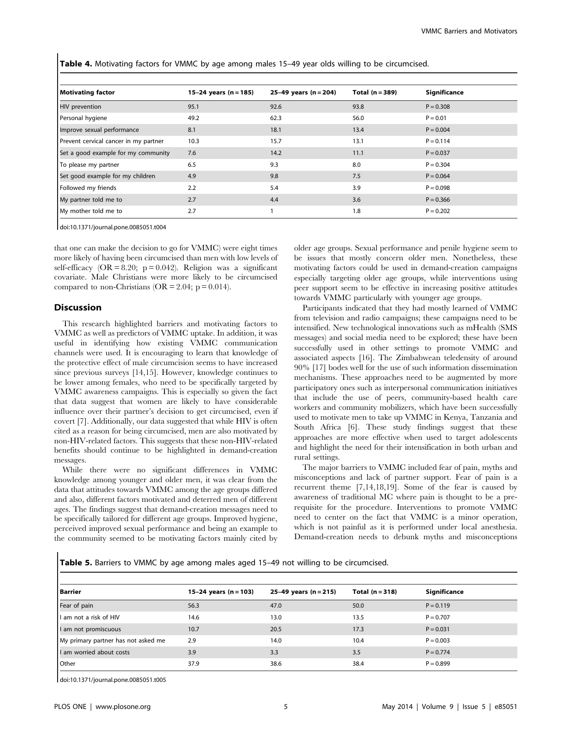Table 4. Motivating factors for VMMC by age among males 15–49 year olds willing to be circumcised.

| <b>Motivating factor</b>              | 15-24 years (n = 185) | 25-49 years $(n = 204)$ | Total $(n = 389)$ | Significance |
|---------------------------------------|-----------------------|-------------------------|-------------------|--------------|
| <b>HIV</b> prevention                 | 95.1                  | 92.6                    | 93.8              | $P = 0.308$  |
| Personal hygiene                      | 49.2                  | 62.3                    | 56.0              | $P = 0.01$   |
| Improve sexual performance            | 8.1                   | 18.1                    | 13.4              | $P = 0.004$  |
| Prevent cervical cancer in my partner | 10.3                  | 15.7                    | 13.1              | $P = 0.114$  |
| Set a good example for my community   | 7.6                   | 14.2                    | 11.1              | $P = 0.037$  |
| To please my partner                  | 6.5                   | 9.3                     | 8.0               | $P = 0.304$  |
| Set good example for my children      | 4.9                   | 9.8                     | 7.5               | $P = 0.064$  |
| Followed my friends                   | 2.2                   | 5.4                     | 3.9               | $P = 0.098$  |
| My partner told me to                 | 2.7                   | 4.4                     | 3.6               | $P = 0.366$  |
| My mother told me to                  | 2.7                   |                         | 1.8               | $P = 0.202$  |

doi:10.1371/journal.pone.0085051.t004

that one can make the decision to go for VMMC) were eight times more likely of having been circumcised than men with low levels of self-efficacy  $(OR = 8.20; p = 0.042)$ . Religion was a significant covariate. Male Christians were more likely to be circumcised compared to non-Christians ( $OR = 2.04$ ;  $p = 0.014$ ).

#### **Discussion**

This research highlighted barriers and motivating factors to VMMC as well as predictors of VMMC uptake. In addition, it was useful in identifying how existing VMMC communication channels were used. It is encouraging to learn that knowledge of the protective effect of male circumcision seems to have increased since previous surveys [14,15]. However, knowledge continues to be lower among females, who need to be specifically targeted by VMMC awareness campaigns. This is especially so given the fact that data suggest that women are likely to have considerable influence over their partner's decision to get circumcised, even if covert [7]. Additionally, our data suggested that while HIV is often cited as a reason for being circumcised, men are also motivated by non-HIV-related factors. This suggests that these non-HIV-related benefits should continue to be highlighted in demand-creation messages.

While there were no significant differences in VMMC knowledge among younger and older men, it was clear from the data that attitudes towards VMMC among the age groups differed and also, different factors motivated and deterred men of different ages. The findings suggest that demand-creation messages need to be specifically tailored for different age groups. Improved hygiene, perceived improved sexual performance and being an example to the community seemed to be motivating factors mainly cited by older age groups. Sexual performance and penile hygiene seem to be issues that mostly concern older men. Nonetheless, these motivating factors could be used in demand-creation campaigns especially targeting older age groups, while interventions using peer support seem to be effective in increasing positive attitudes towards VMMC particularly with younger age groups.

Participants indicated that they had mostly learned of VMMC from television and radio campaigns; these campaigns need to be intensified. New technological innovations such as mHealth (SMS messages) and social media need to be explored; these have been successfully used in other settings to promote VMMC and associated aspects [16]. The Zimbabwean teledensity of around 90% [17] bodes well for the use of such information dissemination mechanisms. These approaches need to be augmented by more participatory ones such as interpersonal communication initiatives that include the use of peers, community-based health care workers and community mobilizers, which have been successfully used to motivate men to take up VMMC in Kenya, Tanzania and South Africa [6]. These study findings suggest that these approaches are more effective when used to target adolescents and highlight the need for their intensification in both urban and rural settings.

The major barriers to VMMC included fear of pain, myths and misconceptions and lack of partner support. Fear of pain is a recurrent theme [7,14,18,19]. Some of the fear is caused by awareness of traditional MC where pain is thought to be a prerequisite for the procedure. Interventions to promote VMMC need to center on the fact that VMMC is a minor operation, which is not painful as it is performed under local anesthesia. Demand-creation needs to debunk myths and misconceptions

Table 5. Barriers to VMMC by age among males aged 15-49 not willing to be circumcised.

| <b>Barrier</b>                      | 15-24 years $(n = 103)$ | 25-49 years $(n = 215)$ | Total $(n = 318)$ | Significance |
|-------------------------------------|-------------------------|-------------------------|-------------------|--------------|
| Fear of pain                        | 56.3                    | 47.0                    | 50.0              | $P = 0.119$  |
| I am not a risk of HIV              | 14.6                    | 13.0                    | 13.5              | $P = 0.707$  |
| I am not promiscuous                | 10.7                    | 20.5                    | 17.3              | $P = 0.031$  |
| My primary partner has not asked me | 2.9                     | 14.0                    | 10.4              | $P = 0.003$  |
| I am worried about costs            | 3.9                     | 3.3                     | 3.5               | $P = 0.774$  |
| Other                               | 37.9                    | 38.6                    | 38.4              | $P = 0.899$  |

doi:10.1371/journal.pone.0085051.t005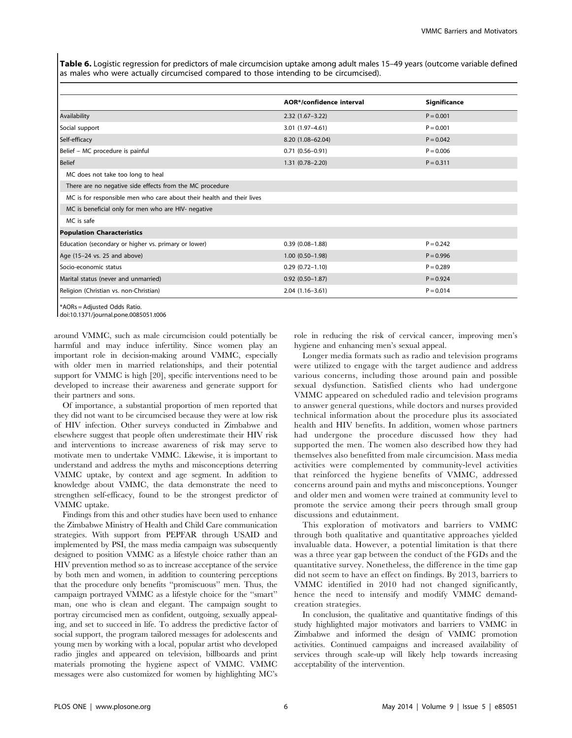Table 6. Logistic regression for predictors of male circumcision uptake among adult males 15–49 years (outcome variable defined as males who were actually circumcised compared to those intending to be circumcised).

|                                                                       | AOR*/confidence interval | Significance |
|-----------------------------------------------------------------------|--------------------------|--------------|
| Availability                                                          | $2.32(1.67 - 3.22)$      | $P = 0.001$  |
| Social support                                                        | 3.01 (1.97-4.61)         | $P = 0.001$  |
| Self-efficacy                                                         | 8.20 (1.08-62.04)        | $P = 0.042$  |
| Belief - MC procedure is painful                                      | $0.71(0.56 - 0.91)$      | $P = 0.006$  |
| <b>Belief</b>                                                         | $1.31(0.78 - 2.20)$      | $P = 0.311$  |
| MC does not take too long to heal                                     |                          |              |
| There are no negative side effects from the MC procedure              |                          |              |
| MC is for responsible men who care about their health and their lives |                          |              |
| MC is beneficial only for men who are HIV- negative                   |                          |              |
| MC is safe                                                            |                          |              |
| <b>Population Characteristics</b>                                     |                          |              |
| Education (secondary or higher vs. primary or lower)                  | $0.39(0.08 - 1.88)$      | $P = 0.242$  |
| Age (15-24 vs. 25 and above)                                          | $1.00(0.50-1.98)$        | $P = 0.996$  |
| Socio-economic status                                                 | $0.29(0.72 - 1.10)$      | $P = 0.289$  |
| Marital status (never and unmarried)                                  | $0.92$ (0.50-1.87)       | $P = 0.924$  |
| Religion (Christian vs. non-Christian)                                | $2.04(1.16 - 3.61)$      | $P = 0.014$  |

doi:10.1371/journal.pone.0085051.t006

around VMMC, such as male circumcision could potentially be harmful and may induce infertility. Since women play an important role in decision-making around VMMC, especially with older men in married relationships, and their potential support for VMMC is high [20], specific interventions need to be developed to increase their awareness and generate support for their partners and sons.

Of importance, a substantial proportion of men reported that they did not want to be circumcised because they were at low risk of HIV infection. Other surveys conducted in Zimbabwe and elsewhere suggest that people often underestimate their HIV risk and interventions to increase awareness of risk may serve to motivate men to undertake VMMC. Likewise, it is important to understand and address the myths and misconceptions deterring VMMC uptake, by context and age segment. In addition to knowledge about VMMC, the data demonstrate the need to strengthen self-efficacy, found to be the strongest predictor of VMMC uptake.

Findings from this and other studies have been used to enhance the Zimbabwe Ministry of Health and Child Care communication strategies. With support from PEPFAR through USAID and implemented by PSI, the mass media campaign was subsequently designed to position VMMC as a lifestyle choice rather than an HIV prevention method so as to increase acceptance of the service by both men and women, in addition to countering perceptions that the procedure only benefits ''promiscuous'' men. Thus, the campaign portrayed VMMC as a lifestyle choice for the ''smart'' man, one who is clean and elegant. The campaign sought to portray circumcised men as confident, outgoing, sexually appealing, and set to succeed in life. To address the predictive factor of social support, the program tailored messages for adolescents and young men by working with a local, popular artist who developed radio jingles and appeared on television, billboards and print materials promoting the hygiene aspect of VMMC. VMMC messages were also customized for women by highlighting MC's

role in reducing the risk of cervical cancer, improving men's hygiene and enhancing men's sexual appeal.

Longer media formats such as radio and television programs were utilized to engage with the target audience and address various concerns, including those around pain and possible sexual dysfunction. Satisfied clients who had undergone VMMC appeared on scheduled radio and television programs to answer general questions, while doctors and nurses provided technical information about the procedure plus its associated health and HIV benefits. In addition, women whose partners had undergone the procedure discussed how they had supported the men. The women also described how they had themselves also benefitted from male circumcision. Mass media activities were complemented by community-level activities that reinforced the hygiene benefits of VMMC, addressed concerns around pain and myths and misconceptions. Younger and older men and women were trained at community level to promote the service among their peers through small group discussions and edutainment.

This exploration of motivators and barriers to VMMC through both qualitative and quantitative approaches yielded invaluable data. However, a potential limitation is that there was a three year gap between the conduct of the FGDs and the quantitative survey. Nonetheless, the difference in the time gap did not seem to have an effect on findings. By 2013, barriers to VMMC identified in 2010 had not changed significantly, hence the need to intensify and modify VMMC demandcreation strategies.

In conclusion, the qualitative and quantitative findings of this study highlighted major motivators and barriers to VMMC in Zimbabwe and informed the design of VMMC promotion activities. Continued campaigns and increased availability of services through scale-up will likely help towards increasing acceptability of the intervention.